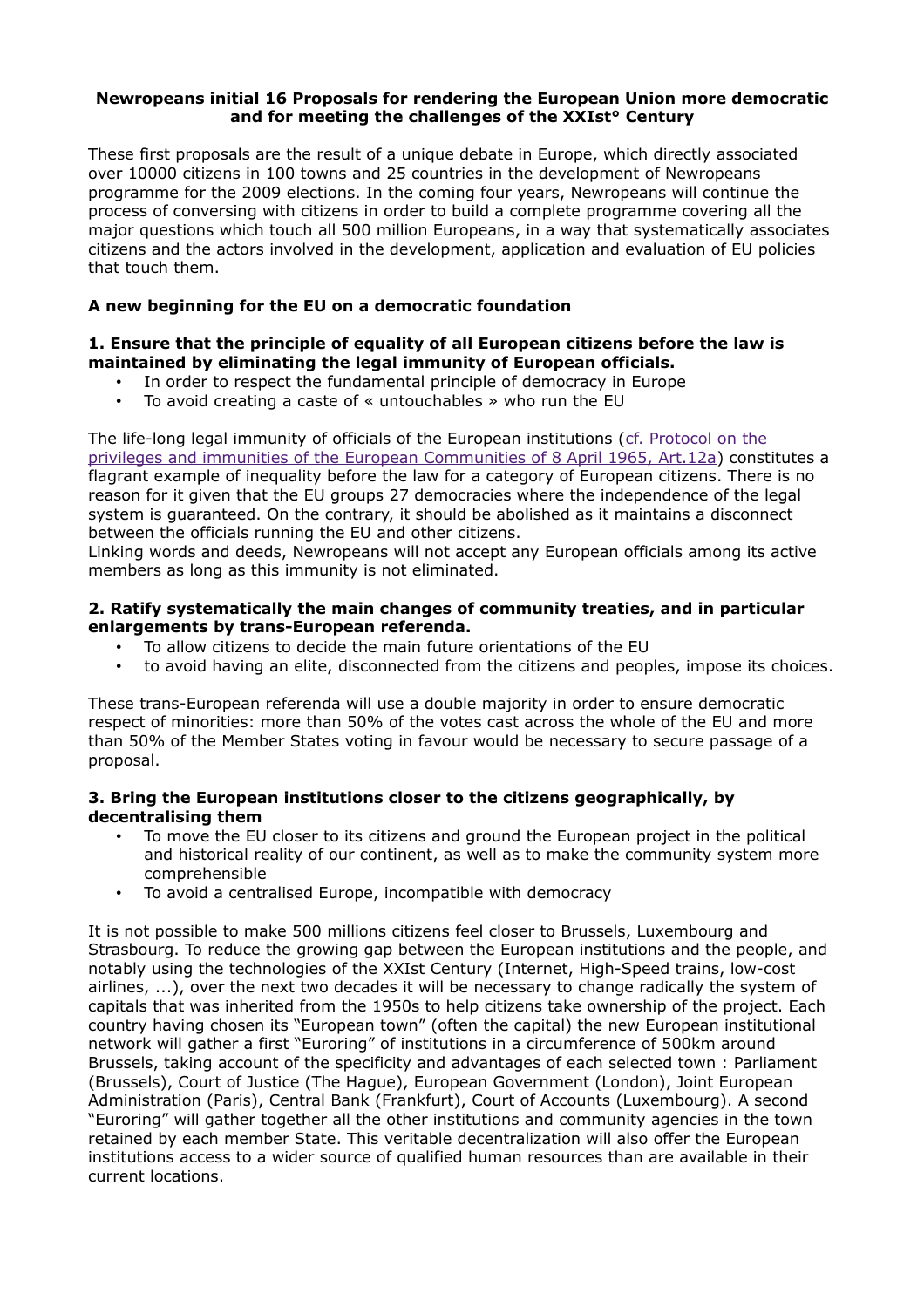#### **Newropeans initial 16 Proposals for rendering the European Union more democratic and for meeting the challenges of the XXIst° Century**

These first proposals are the result of a unique debate in Europe, which directly associated over 10000 citizens in 100 towns and 25 countries in the development of Newropeans programme for the 2009 elections. In the coming four years, Newropeans will continue the process of conversing with citizens in order to build a complete programme covering all the major questions which touch all 500 million Europeans, in a way that systematically associates citizens and the actors involved in the development, application and evaluation of EU policies that touch them.

# **A new beginning for the EU on a democratic foundation**

## **1. Ensure that the principle of equality of all European citizens before the law is maintained by eliminating the legal immunity of European officials.**

- In order to respect the fundamental principle of democracy in Europe
- To avoid creating a caste of « untouchables » who run the EU

The life-long legal immunity of officials of the European institutions [\(cf. Protocol on the](http://eur-lex.europa.eu/LexUriServ/LexUriServ.do?uri=CELEX:12006E/PRO/36:EN:HTML)  [privileges and immunities of the European Communities of 8 April 1965, Art.12a\)](http://eur-lex.europa.eu/LexUriServ/LexUriServ.do?uri=CELEX:12006E/PRO/36:EN:HTML) constitutes a flagrant example of inequality before the law for a category of European citizens. There is no reason for it given that the EU groups 27 democracies where the independence of the legal system is guaranteed. On the contrary, it should be abolished as it maintains a disconnect between the officials running the EU and other citizens.

Linking words and deeds, Newropeans will not accept any European officials among its active members as long as this immunity is not eliminated.

#### **2. Ratify systematically the main changes of community treaties, and in particular enlargements by trans-European referenda.**

- To allow citizens to decide the main future orientations of the EU
- to avoid having an elite, disconnected from the citizens and peoples, impose its choices.

These trans-European referenda will use a double majority in order to ensure democratic respect of minorities: more than 50% of the votes cast across the whole of the EU and more than 50% of the Member States voting in favour would be necessary to secure passage of a proposal.

## **3. Bring the European institutions closer to the citizens geographically, by decentralising them**

- To move the EU closer to its citizens and ground the European project in the political and historical reality of our continent, as well as to make the community system more comprehensible
- To avoid a centralised Europe, incompatible with democracy

It is not possible to make 500 millions citizens feel closer to Brussels, Luxembourg and Strasbourg. To reduce the growing gap between the European institutions and the people, and notably using the technologies of the XXIst Century (Internet, High-Speed trains, low-cost airlines, ...), over the next two decades it will be necessary to change radically the system of capitals that was inherited from the 1950s to help citizens take ownership of the project. Each country having chosen its "European town" (often the capital) the new European institutional network will gather a first "Euroring" of institutions in a circumference of 500km around Brussels, taking account of the specificity and advantages of each selected town : Parliament (Brussels), Court of Justice (The Hague), European Government (London), Joint European Administration (Paris), Central Bank (Frankfurt), Court of Accounts (Luxembourg). A second "Euroring" will gather together all the other institutions and community agencies in the town retained by each member State. This veritable decentralization will also offer the European institutions access to a wider source of qualified human resources than are available in their current locations.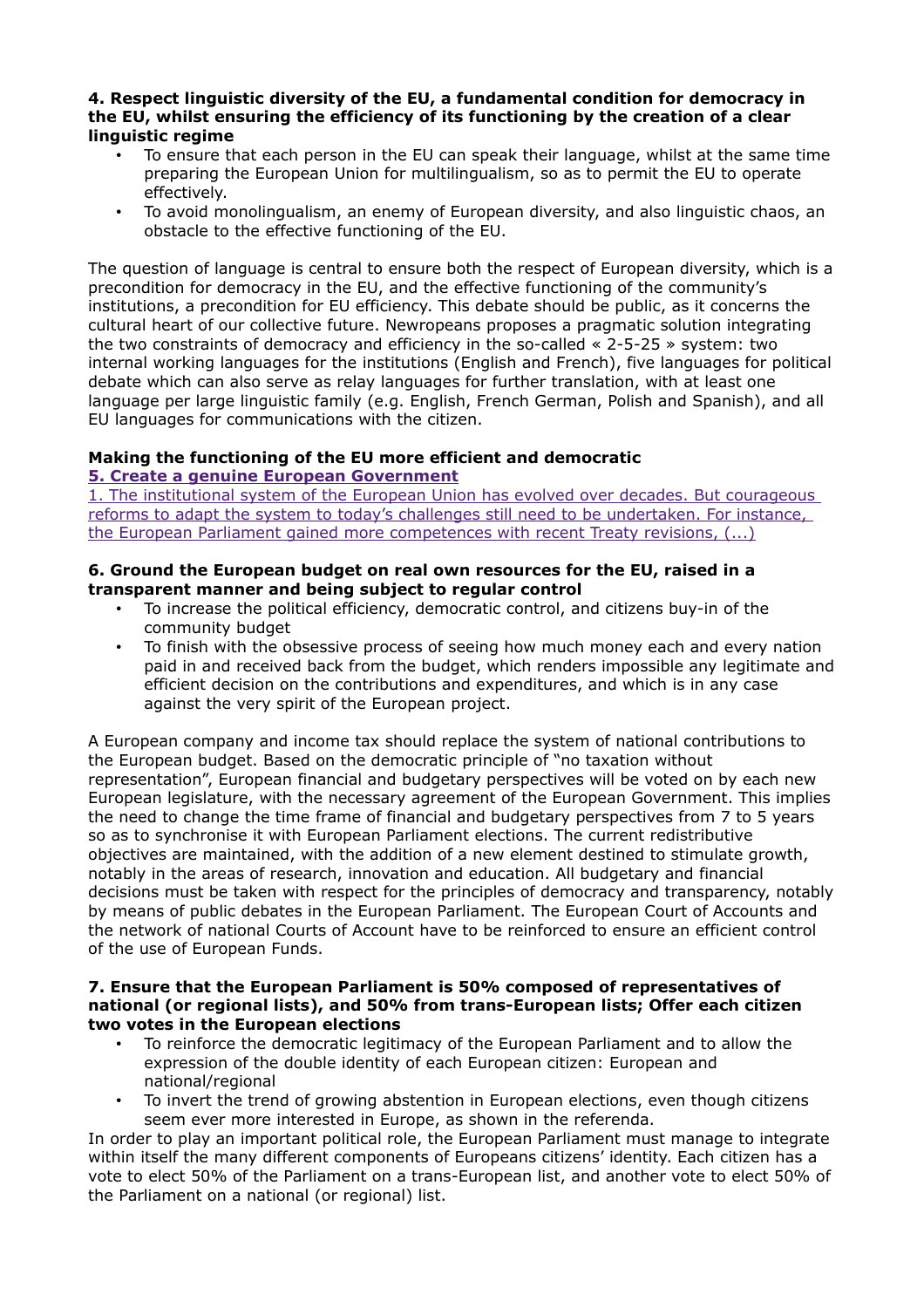#### **4. Respect linguistic diversity of the EU, a fundamental condition for democracy in the EU, whilst ensuring the efficiency of its functioning by the creation of a clear linguistic regime**

- To ensure that each person in the EU can speak their language, whilst at the same time preparing the European Union for multilingualism, so as to permit the EU to operate effectively.
- To avoid monolingualism, an enemy of European diversity, and also linguistic chaos, an obstacle to the effective functioning of the EU.

The question of language is central to ensure both the respect of European diversity, which is a precondition for democracy in the EU, and the effective functioning of the community's institutions, a precondition for EU efficiency. This debate should be public, as it concerns the cultural heart of our collective future. Newropeans proposes a pragmatic solution integrating the two constraints of democracy and efficiency in the so-called « 2-5-25 » system: two internal working languages for the institutions (English and French), five languages for political debate which can also serve as relay languages for further translation, with at least one language per large linguistic family (e.g. English, French German, Polish and Spanish), and all EU languages for communications with the citizen.

# **Making the functioning of the EU more efficient and democratic [5. Create a genuine European Government](http://www.newropeans.eu/spip.php?article529)**

[1. The institutional system of the European Union has evolved over decades. But courageous](http://www.newropeans.eu/spip.php?article529)  [reforms to adapt the system to today's challenges still need to be undertaken. For instance,](http://www.newropeans.eu/spip.php?article529)  [the European Parliament gained more competences with recent Treaty revisions, \(...\)](http://www.newropeans.eu/spip.php?article529)

## **6. Ground the European budget on real own resources for the EU, raised in a transparent manner and being subject to regular control**

- To increase the political efficiency, democratic control, and citizens buy-in of the community budget
- To finish with the obsessive process of seeing how much money each and every nation paid in and received back from the budget, which renders impossible any legitimate and efficient decision on the contributions and expenditures, and which is in any case against the very spirit of the European project.

A European company and income tax should replace the system of national contributions to the European budget. Based on the democratic principle of "no taxation without representation", European financial and budgetary perspectives will be voted on by each new European legislature, with the necessary agreement of the European Government. This implies the need to change the time frame of financial and budgetary perspectives from 7 to 5 years so as to synchronise it with European Parliament elections. The current redistributive objectives are maintained, with the addition of a new element destined to stimulate growth, notably in the areas of research, innovation and education. All budgetary and financial decisions must be taken with respect for the principles of democracy and transparency, notably by means of public debates in the European Parliament. The European Court of Accounts and the network of national Courts of Account have to be reinforced to ensure an efficient control of the use of European Funds.

#### **7. Ensure that the European Parliament is 50% composed of representatives of national (or regional lists), and 50% from trans-European lists; Offer each citizen two votes in the European elections**

- To reinforce the democratic legitimacy of the European Parliament and to allow the expression of the double identity of each European citizen: European and national/regional
- To invert the trend of growing abstention in European elections, even though citizens seem ever more interested in Europe, as shown in the referenda.

In order to play an important political role, the European Parliament must manage to integrate within itself the many different components of Europeans citizens' identity. Each citizen has a vote to elect 50% of the Parliament on a trans-European list, and another vote to elect 50% of the Parliament on a national (or regional) list.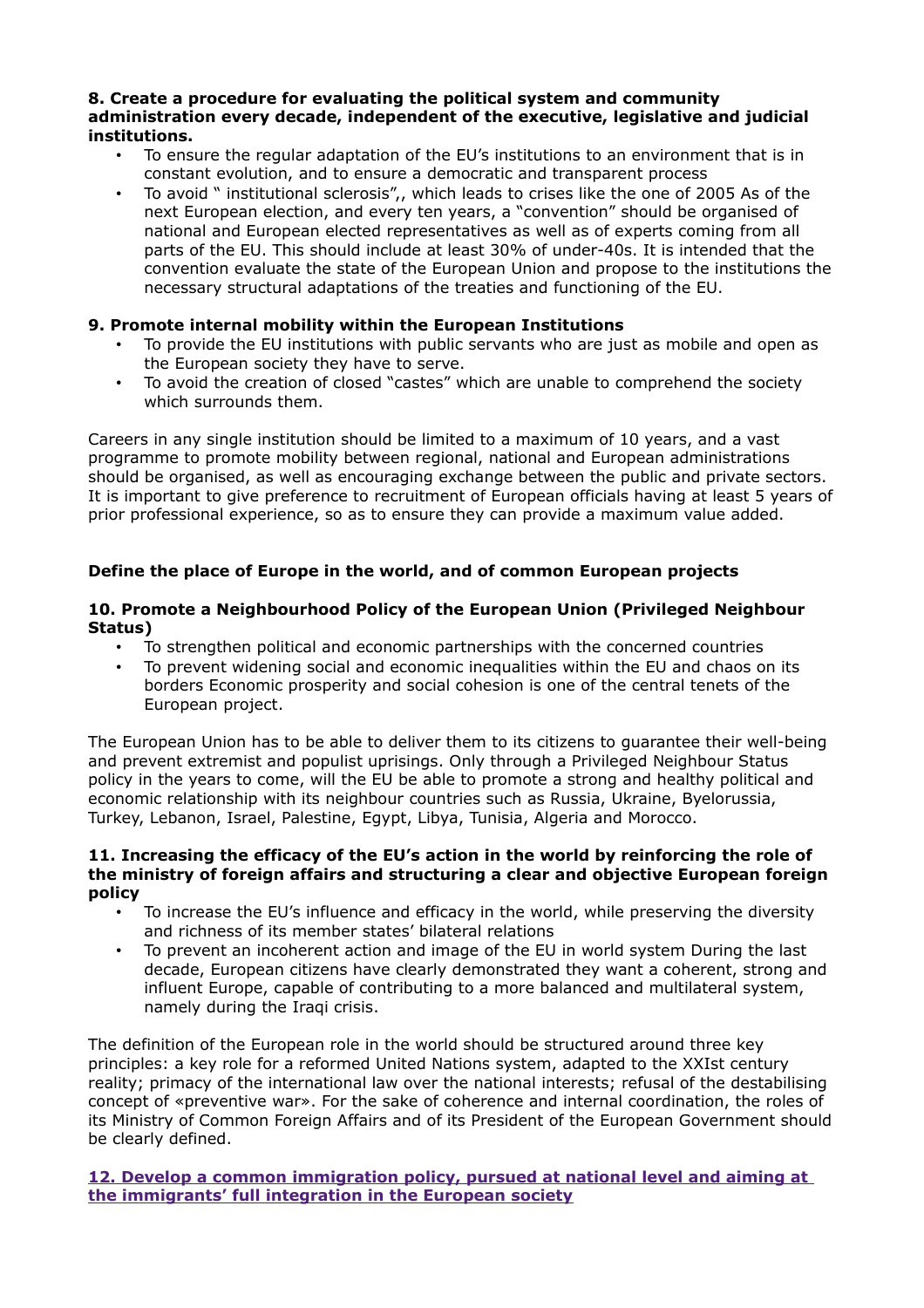#### **8. Create a procedure for evaluating the political system and community administration every decade, independent of the executive, legislative and judicial institutions.**

- To ensure the regular adaptation of the EU's institutions to an environment that is in constant evolution, and to ensure a democratic and transparent process
- To avoid " institutional sclerosis",, which leads to crises like the one of 2005 As of the next European election, and every ten years, a "convention" should be organised of national and European elected representatives as well as of experts coming from all parts of the EU. This should include at least 30% of under-40s. It is intended that the convention evaluate the state of the European Union and propose to the institutions the necessary structural adaptations of the treaties and functioning of the EU.

## **9. Promote internal mobility within the European Institutions**

- To provide the EU institutions with public servants who are just as mobile and open as the European society they have to serve.
- To avoid the creation of closed "castes" which are unable to comprehend the society which surrounds them.

Careers in any single institution should be limited to a maximum of 10 years, and a vast programme to promote mobility between regional, national and European administrations should be organised, as well as encouraging exchange between the public and private sectors. It is important to give preference to recruitment of European officials having at least 5 years of prior professional experience, so as to ensure they can provide a maximum value added.

# **Define the place of Europe in the world, and of common European projects**

## **10. Promote a Neighbourhood Policy of the European Union (Privileged Neighbour Status)**

- To strengthen political and economic partnerships with the concerned countries
- To prevent widening social and economic inequalities within the EU and chaos on its borders Economic prosperity and social cohesion is one of the central tenets of the European project.

The European Union has to be able to deliver them to its citizens to guarantee their well-being and prevent extremist and populist uprisings. Only through a Privileged Neighbour Status policy in the years to come, will the EU be able to promote a strong and healthy political and economic relationship with its neighbour countries such as Russia, Ukraine, Byelorussia, Turkey, Lebanon, Israel, Palestine, Egypt, Libya, Tunisia, Algeria and Morocco.

#### **11. Increasing the efficacy of the EU's action in the world by reinforcing the role of the ministry of foreign affairs and structuring a clear and objective European foreign policy**

- To increase the EU's influence and efficacy in the world, while preserving the diversity and richness of its member states' bilateral relations
- To prevent an incoherent action and image of the EU in world system During the last decade, European citizens have clearly demonstrated they want a coherent, strong and influent Europe, capable of contributing to a more balanced and multilateral system, namely during the Iraqi crisis.

The definition of the European role in the world should be structured around three key principles: a key role for a reformed United Nations system, adapted to the XXIst century reality; primacy of the international law over the national interests; refusal of the destabilising concept of «preventive war». For the sake of coherence and internal coordination, the roles of its Ministry of Common Foreign Affairs and of its President of the European Government should be clearly defined.

# **[12. Develop a common immigration policy, pursued at national level and aiming at](http://www.newropeans.eu/spip.php?article526&lang=en)  [the immigrants' full integration in the European society](http://www.newropeans.eu/spip.php?article526&lang=en)**